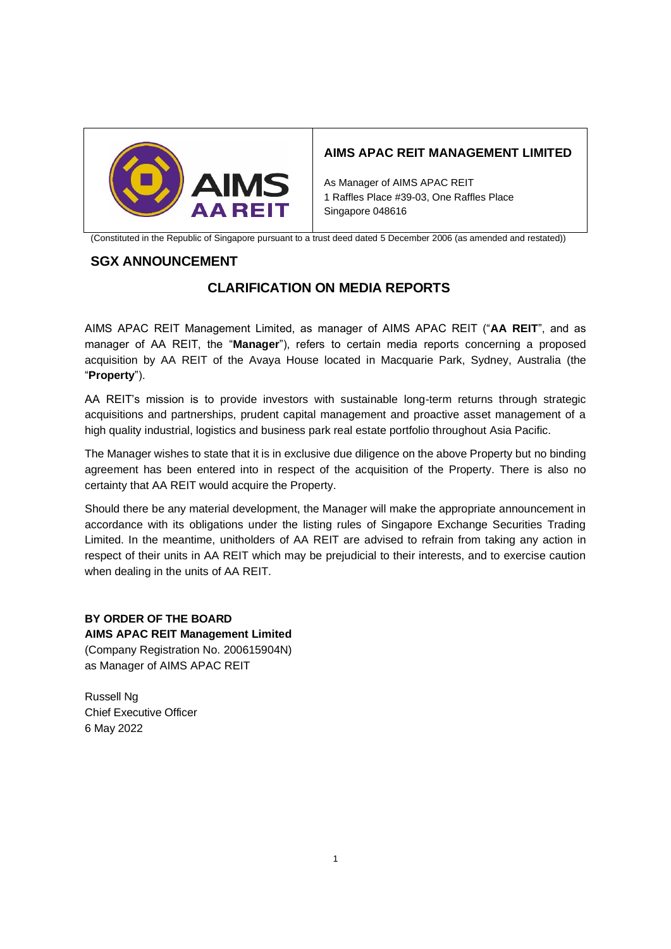

## **AIMS APAC REIT MANAGEMENT LIMITED**

As Manager of AIMS APAC REIT 1 Raffles Place #39-03, One Raffles Place Singapore 048616

(Constituted in the Republic of Singapore pursuant to a trust deed dated 5 December 2006 (as amended and restated))

## **SGX ANNOUNCEMENT**

# **CLARIFICATION ON MEDIA REPORTS**

AIMS APAC REIT Management Limited, as manager of AIMS APAC REIT ("**AA REIT**", and as manager of AA REIT, the "**Manager**"), refers to certain media reports concerning a proposed acquisition by AA REIT of the Avaya House located in Macquarie Park, Sydney, Australia (the "**Property**").

AA REIT's mission is to provide investors with sustainable long-term returns through strategic acquisitions and partnerships, prudent capital management and proactive asset management of a high quality industrial, logistics and business park real estate portfolio throughout Asia Pacific.

The Manager wishes to state that it is in exclusive due diligence on the above Property but no binding agreement has been entered into in respect of the acquisition of the Property. There is also no certainty that AA REIT would acquire the Property.

Should there be any material development, the Manager will make the appropriate announcement in accordance with its obligations under the listing rules of Singapore Exchange Securities Trading Limited. In the meantime, unitholders of AA REIT are advised to refrain from taking any action in respect of their units in AA REIT which may be prejudicial to their interests, and to exercise caution when dealing in the units of AA REIT.

### **BY ORDER OF THE BOARD**

**AIMS APAC REIT Management Limited** 

(Company Registration No. 200615904N) as Manager of AIMS APAC REIT

Russell Ng Chief Executive Officer 6 May 2022